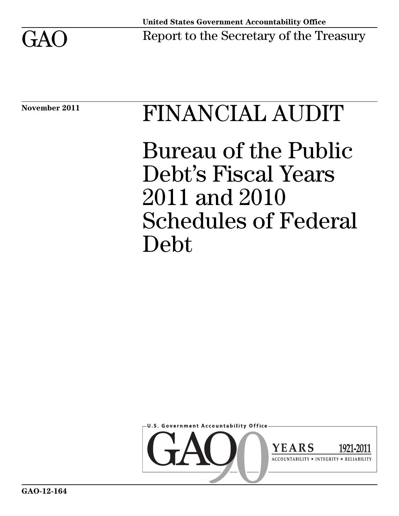

# November 2011 FINANCIAL AUDIT

Bureau of the Public Debt's Fiscal Years 2011 and 2010 Schedules of Federal Debt

**U.S. Government Accountability Office** 

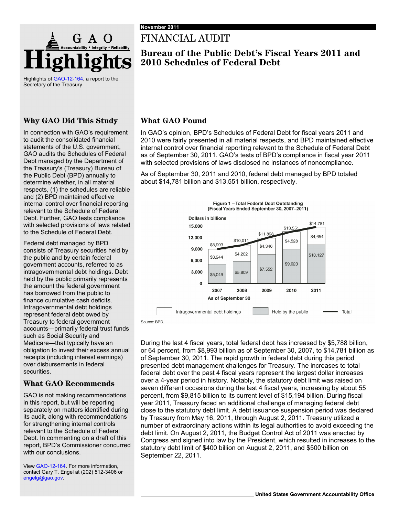

Highlights of [GAO-12-164,](http://www.gao.gov/products/GAO-12-164) a report to the Secretary of the Treasury

#### **Why GAO Did This Study**

In connection with GAO's requirement to audit the consolidated financial statements of the U.S. government, GAO audits the Schedules of Federal Debt managed by the Department of the Treasury's (Treasury) Bureau of the Public Debt (BPD) annually to determine whether, in all material respects, (1) the schedules are reliable and (2) BPD maintained effective internal control over financial reporting relevant to the Schedule of Federal Debt. Further, GAO tests compliance with selected provisions of laws related to the Schedule of Federal Debt.

Federal debt managed by BPD consists of Treasury securities held by the public and by certain federal government accounts, referred to as intragovernmental debt holdings. Debt held by the public primarily represents the amount the federal government has borrowed from the public to finance cumulative cash deficits. Intragovernmental debt holdings represent federal debt owed by Treasury to federal government accounts—primarily federal trust funds such as Social Security and Medicare—that typically have an obligation to invest their excess annual receipts (including interest earnings) over disbursements in federal securities.

#### **What GAO Recommends**

GAO is not making recommendations in this report, but will be reporting separately on matters identified during its audit, along with recommendations for strengthening internal controls relevant to the Schedule of Federal Debt. In commenting on a draft of this report, BPD's Commissioner concurred with our conclusions.

View [GAO-12-164.](http://www.gao.gov/products/GAO-12-164) For more information, contact Gary T. Engel at (202) 512-3406 or [engelg@gao.gov.](mailto:engelg@gao.gov)

### FINANCIAL AUDIT

#### **Bureau of the Public Debt's Fiscal Years 2011 and 2010 Schedules of Federal Debt**

#### **What GAO Found**

In GAO's opinion, BPD's Schedules of Federal Debt for fiscal years 2011 and 2010 were fairly presented in all material respects, and BPD maintained effective internal control over financial reporting relevant to the Schedule of Federal Debt as of September 30, 2011. GAO's tests of BPD's compliance in fiscal year 2011 with selected provisions of laws disclosed no instances of noncompliance.

As of September 30, 2011 and 2010, federal debt managed by BPD totaled about \$14,781 billion and \$13,551 billion, respectively.



During the last 4 fiscal years, total federal debt has increased by \$5,788 billion, or 64 percent, from \$8,993 billion as of September 30, 2007, to \$14,781 billion as of September 30, 2011. The rapid growth in federal debt during this period presented debt management challenges for Treasury. The increases to total federal debt over the past 4 fiscal years represent the largest dollar increases over a 4-year period in history. Notably, the statutory debt limit was raised on seven different occasions during the last 4 fiscal years, increasing by about 55 percent, from \$9,815 billion to its current level of \$15,194 billion. During fiscal year 2011, Treasury faced an additional challenge of managing federal debt close to the statutory debt limit. A debt issuance suspension period was declared by Treasury from May 16, 2011, through August 2, 2011. Treasury utilized a number of extraordinary actions within its legal authorities to avoid exceeding the debt limit. On August 2, 2011, the Budget Control Act of 2011 was enacted by Congress and signed into law by the President, which resulted in increases to the statutory debt limit of \$400 billion on August 2, 2011, and \$500 billion on September 22, 2011.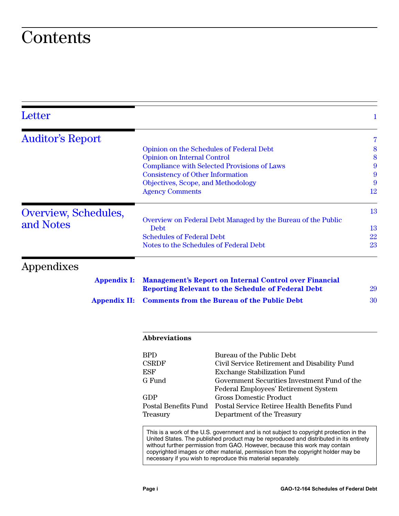## **Contents**

| Letter                  |                                                                                                                                                                                                                                                                                                                                                                                                                       | 1                                                            |  |
|-------------------------|-----------------------------------------------------------------------------------------------------------------------------------------------------------------------------------------------------------------------------------------------------------------------------------------------------------------------------------------------------------------------------------------------------------------------|--------------------------------------------------------------|--|
| <b>Auditor's Report</b> |                                                                                                                                                                                                                                                                                                                                                                                                                       | 7                                                            |  |
|                         | <b>Opinion on the Schedules of Federal Debt</b>                                                                                                                                                                                                                                                                                                                                                                       | 8                                                            |  |
|                         | <b>Opinion on Internal Control</b>                                                                                                                                                                                                                                                                                                                                                                                    | 8                                                            |  |
|                         |                                                                                                                                                                                                                                                                                                                                                                                                                       | 9<br><b>Compliance with Selected Provisions of Laws</b>      |  |
|                         | <b>Consistency of Other Information</b>                                                                                                                                                                                                                                                                                                                                                                               | 9                                                            |  |
|                         | Objectives, Scope, and Methodology                                                                                                                                                                                                                                                                                                                                                                                    | 9                                                            |  |
|                         | <b>Agency Comments</b>                                                                                                                                                                                                                                                                                                                                                                                                | 12                                                           |  |
| Overview, Schedules,    |                                                                                                                                                                                                                                                                                                                                                                                                                       | 13                                                           |  |
|                         |                                                                                                                                                                                                                                                                                                                                                                                                                       | Overview on Federal Debt Managed by the Bureau of the Public |  |
| and Notes               | Debt                                                                                                                                                                                                                                                                                                                                                                                                                  | 13                                                           |  |
|                         | <b>Schedules of Federal Debt</b>                                                                                                                                                                                                                                                                                                                                                                                      | 22                                                           |  |
|                         | Notes to the Schedules of Federal Debt                                                                                                                                                                                                                                                                                                                                                                                | 23                                                           |  |
| Appendixes              |                                                                                                                                                                                                                                                                                                                                                                                                                       |                                                              |  |
| <b>Appendix I:</b>      | <b>Management's Report on Internal Control over Financial</b><br><b>Reporting Relevant to the Schedule of Federal Debt</b>                                                                                                                                                                                                                                                                                            |                                                              |  |
| <b>Appendix II:</b>     | <b>Comments from the Bureau of the Public Debt</b>                                                                                                                                                                                                                                                                                                                                                                    |                                                              |  |
|                         | <b>Abbreviations</b>                                                                                                                                                                                                                                                                                                                                                                                                  |                                                              |  |
|                         | <b>BPD</b>                                                                                                                                                                                                                                                                                                                                                                                                            | Bureau of the Public Debt                                    |  |
|                         | <b>CSRDF</b>                                                                                                                                                                                                                                                                                                                                                                                                          | Civil Service Retirement and Disability Fund                 |  |
|                         | <b>ESF</b>                                                                                                                                                                                                                                                                                                                                                                                                            | <b>Exchange Stabilization Fund</b>                           |  |
|                         | G Fund                                                                                                                                                                                                                                                                                                                                                                                                                | Government Securities Investment Fund of the                 |  |
|                         |                                                                                                                                                                                                                                                                                                                                                                                                                       | Federal Employees' Retirement System                         |  |
|                         | <b>GDP</b>                                                                                                                                                                                                                                                                                                                                                                                                            | <b>Gross Domestic Product</b>                                |  |
|                         | Postal Benefits Fund                                                                                                                                                                                                                                                                                                                                                                                                  | Postal Service Retiree Health Benefits Fund                  |  |
|                         | <b>Treasury</b>                                                                                                                                                                                                                                                                                                                                                                                                       | Department of the Treasury                                   |  |
|                         | This is a work of the U.S. government and is not subject to copyright protection in the<br>United States. The published product may be reproduced and distributed in its entirety<br>without further permission from GAO. However, because this work may contain<br>copyrighted images or other material, permission from the copyright holder may be<br>necessary if you wish to reproduce this material separately. |                                                              |  |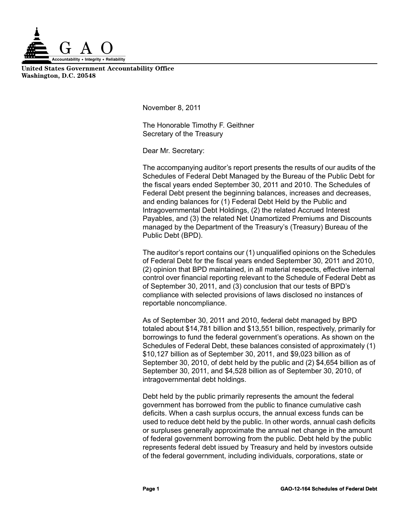

**United States Government Accountability Office Washington, D.C. 20548**

<span id="page-3-0"></span>**November 8, 2011** 

The Honorable Timothy F. Geithner Secretary of the Treasury

Dear Mr. Secretary:

The accompanying auditor's report presents the results of our audits of the Schedules of Federal Debt Managed by the Bureau of the Public Debt for the fiscal years ended September 30, 2011 and 2010. The Schedules of Federal Debt present the beginning balances, increases and decreases, and ending balances for (1) Federal Debt Held by the Public and Intragovernmental Debt Holdings, (2) the related Accrued Interest Payables, and (3) the related Net Unamortized Premiums and Discounts managed by the Department of the Treasury's (Treasury) Bureau of the Public Debt (BPD).

The auditor's report contains our (1) unqualified opinions on the Schedules of Federal Debt for the fiscal years ended September 30, 2011 and 2010, (2) opinion that BPD maintained, in all material respects, effective internal control over financial reporting relevant to the Schedule of Federal Debt as of September 30, 2011, and (3) conclusion that our tests of BPD's compliance with selected provisions of laws disclosed no instances of reportable noncompliance.

As of September 30, 2011 and 2010, federal debt managed by BPD totaled about \$14,781 billion and \$13,551 billion, respectively, primarily for borrowings to fund the federal government's operations. As shown on the Schedules of Federal Debt, these balances consisted of approximately (1) \$10,127 billion as of September 30, 2011, and \$9,023 billion as of September 30, 2010, of debt held by the public and (2) \$4,654 billion as of September 30, 2011, and \$4,528 billion as of September 30, 2010, of intragovernmental debt holdings.

Debt held by the public primarily represents the amount the federal government has borrowed from the public to finance cumulative cash deficits. When a cash surplus occurs, the annual excess funds can be used to reduce debt held by the public. In other words, annual cash deficits or surpluses generally approximate the annual net change in the amount of federal government borrowing from the public. Debt held by the public represents federal debt issued by Treasury and held by investors outside of the federal government, including individuals, corporations, state or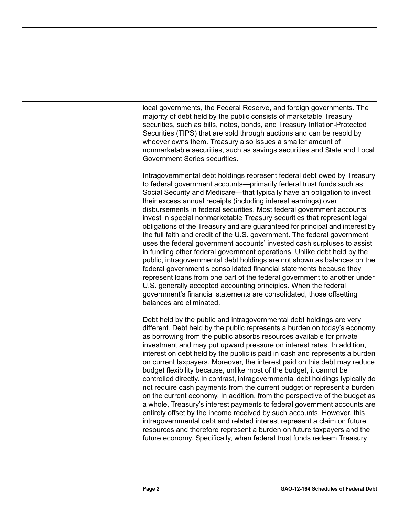local governments, the Federal Reserve, and foreign governments. The majority of debt held by the public consists of marketable Treasury securities, such as bills, notes, bonds, and Treasury Inflation-Protected Securities (TIPS) that are sold through auctions and can be resold by whoever owns them. Treasury also issues a smaller amount of nonmarketable securities, such as savings securities and State and Local Government Series securities.

Intragovernmental debt holdings represent federal debt owed by Treasury to federal government accounts—primarily federal trust funds such as Social Security and Medicare—that typically have an obligation to invest their excess annual receipts (including interest earnings) over disbursements in federal securities. Most federal government accounts invest in special nonmarketable Treasury securities that represent legal obligations of the Treasury and are guaranteed for principal and interest by the full faith and credit of the U.S. government. The federal government uses the federal government accounts' invested cash surpluses to assist in funding other federal government operations. Unlike debt held by the public, intragovernmental debt holdings are not shown as balances on the federal government's consolidated financial statements because they represent loans from one part of the federal government to another under U.S. generally accepted accounting principles. When the federal government's financial statements are consolidated, those offsetting balances are eliminated.

Debt held by the public and intragovernmental debt holdings are very different. Debt held by the public represents a burden on today's economy as borrowing from the public absorbs resources available for private investment and may put upward pressure on interest rates. In addition, interest on debt held by the public is paid in cash and represents a burden on current taxpayers. Moreover, the interest paid on this debt may reduce budget flexibility because, unlike most of the budget, it cannot be controlled directly. In contrast, intragovernmental debt holdings typically do not require cash payments from the current budget or represent a burden on the current economy. In addition, from the perspective of the budget as a whole, Treasury's interest payments to federal government accounts are entirely offset by the income received by such accounts. However, this intragovernmental debt and related interest represent a claim on future resources and therefore represent a burden on future taxpayers and the future economy. Specifically, when federal trust funds redeem Treasury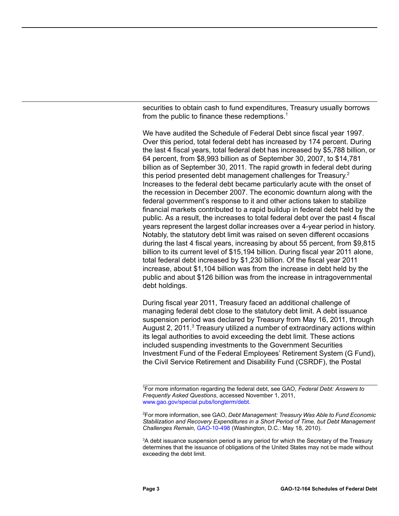securities to obtain cash to fund expenditures, Treasury usually borrows from the public to finance these redemptions. $<sup>1</sup>$ </sup>

We have audited the Schedule of Federal Debt since fiscal year 1997. Over this period, total federal debt has increased by 174 percent. During the last 4 fiscal years, total federal debt has increased by \$5,788 billion, or 64 percent, from \$8,993 billion as of September 30, 2007, to \$14,781 billion as of September 30, 2011. The rapid growth in federal debt during this period presented debt management challenges for Treasury.<sup>2</sup> Increases to the federal debt became particularly acute with the onset of the recession in December 2007. The economic downturn along with the federal government's response to it and other actions taken to stabilize financial markets contributed to a rapid buildup in federal debt held by the public. As a result, the increases to total federal debt over the past 4 fiscal years represent the largest dollar increases over a 4-year period in history. Notably, the statutory debt limit was raised on seven different occasions during the last 4 fiscal years, increasing by about 55 percent, from \$9,815 billion to its current level of \$15,194 billion. During fiscal year 2011 alone, total federal debt increased by \$1,230 billion. Of the fiscal year 2011 increase, about \$1,104 billion was from the increase in debt held by the public and about \$126 billion was from the increase in intragovernmental debt holdings.

During fiscal year 2011, Treasury faced an additional challenge of managing federal debt close to the statutory debt limit. A debt issuance suspension period was declared by Treasury from May 16, 2011, through August 2, 2011. $3$  Treasury utilized a number of extraordinary actions within its legal authorities to avoid exceeding the debt limit. These actions included suspending investments to the Government Securities Investment Fund of the Federal Employees' Retirement System (G Fund), the Civil Service Retirement and Disability Fund (CSRDF), the Postal

<sup>1</sup> For more information regarding the federal debt, see GAO, *Federal Debt: Answers to Frequently Asked Questions*, accessed November 1, 2011[,](http://www.gao.gov/special.pubs/longterm/debt) [www.gao.gov/special.pubs/longterm/debt.](http://www.gao.gov/special.pubs/longterm/debt)

<sup>2</sup> For more information, see GAO, *Debt Management: Treasury Was Able to Fund Economic Stabilization and Recovery Expenditures in a Short Period of Time, but Debt Management Challenges Remain*, [GAO-10-498](http://www.gao.gov/products/GAO-10-498) (Washington, D.C.: May 18, 2010).

<sup>&</sup>lt;sup>3</sup>A debt issuance suspension period is any period for which the Secretary of the Treasury determines that the issuance of obligations of the United States may not be made without exceeding the debt limit.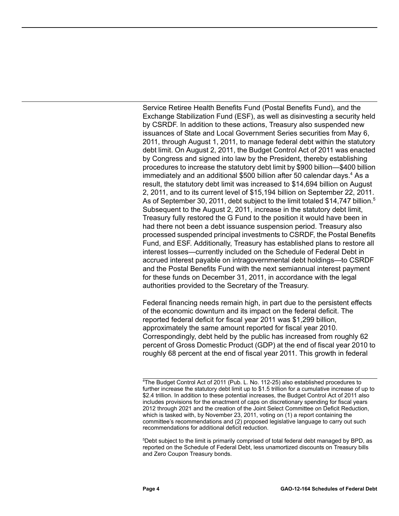Service Retiree Health Benefits Fund (Postal Benefits Fund), and the Exchange Stabilization Fund (ESF), as well as disinvesting a security held by CSRDF. In addition to these actions, Treasury also suspended new issuances of State and Local Government Series securities from May 6, 2011, through August 1, 2011, to manage federal debt within the statutory debt limit. On August 2, 2011, the Budget Control Act of 2011 was enacted by Congress and signed into law by the President, thereby establishing procedures to increase the statutory debt limit by \$900 billion—\$400 billion immediately and an additional \$500 billion after 50 calendar days.<sup>4</sup> As a result, the statutory debt limit was increased to \$14,694 billion on August 2, 2011, and to its current level of \$15,194 billion on September 22, 2011. As of September 30, 2011, debt subject to the limit totaled \$14,747 billion.<sup>5</sup> Subsequent to the August 2, 2011, increase in the statutory debt limit, Treasury fully restored the G Fund to the position it would have been in had there not been a debt issuance suspension period. Treasury also processed suspended principal investments to CSRDF, the Postal Benefits Fund, and ESF. Additionally, Treasury has established plans to restore all interest losses—currently included on the Schedule of Federal Debt in accrued interest payable on intragovernmental debt holdings—to CSRDF and the Postal Benefits Fund with the next semiannual interest payment for these funds on December 31, 2011, in accordance with the legal authorities provided to the Secretary of the Treasury.

Federal financing needs remain high, in part due to the persistent effects of the economic downturn and its impact on the federal deficit. The reported federal deficit for fiscal year 2011 was \$1,299 billion, approximately the same amount reported for fiscal year 2010. Correspondingly, debt held by the public has increased from roughly 62 percent of Gross Domestic Product (GDP) at the end of fiscal year 2010 to roughly 68 percent at the end of fiscal year 2011. This growth in federal

5 Debt subject to the limit is primarily comprised of total federal debt managed by BPD, as reported on the Schedule of Federal Debt, less unamortized discounts on Treasury bills and Zero Coupon Treasury bonds.

<sup>4</sup> The Budget Control Act of 2011 (Pub. L. No. 112-25) also established procedures to further increase the statutory debt limit up to \$1.5 trillion for a cumulative increase of up to \$2.4 trillion. In addition to these potential increases, the Budget Control Act of 2011 also includes provisions for the enactment of caps on discretionary spending for fiscal years 2012 through 2021 and the creation of the Joint Select Committee on Deficit Reduction, which is tasked with, by November 23, 2011, voting on (1) a report containing the committee's recommendations and (2) proposed legislative language to carry out such recommendations for additional deficit reduction.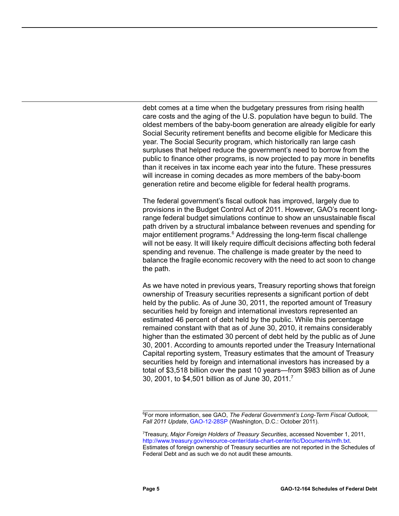debt comes at a time when the budgetary pressures from rising health care costs and the aging of the U.S. population have begun to build. The oldest members of the baby-boom generation are already eligible for early Social Security retirement benefits and become eligible for Medicare this year. The Social Security program, which historically ran large cash surpluses that helped reduce the government's need to borrow from the public to finance other programs, is now projected to pay more in benefits than it receives in tax income each year into the future. These pressures will increase in coming decades as more members of the baby-boom generation retire and become eligible for federal health programs.

The federal government's fiscal outlook has improved, largely due to provisions in the Budget Control Act of 2011. However, GAO's recent longrange federal budget simulations continue to show an unsustainable fiscal path driven by a structural imbalance between revenues and spending for major entitlement programs.<sup>6</sup> Addressing the long-term fiscal challenge will not be easy. It will likely require difficult decisions affecting both federal spending and revenue. The challenge is made greater by the need to balance the fragile economic recovery with the need to act soon to change the path.

As we have noted in previous years, Treasury reporting shows that foreign ownership of Treasury securities represents a significant portion of debt held by the public. As of June 30, 2011, the reported amount of Treasury securities held by foreign and international investors represented an estimated 46 percent of debt held by the public. While this percentage remained constant with that as of June 30, 2010, it remains considerably higher than the estimated 30 percent of debt held by the public as of June 30, 2001. According to amounts reported under the Treasury International Capital reporting system, Treasury estimates that the amount of Treasury securities held by foreign and international investors has increased by a total of \$3,518 billion over the past 10 years—from \$983 billion as of June 30, 2001, to \$4,501 billion as of June 30, 2011.<sup>7</sup>

6 For more information, see GAO, *The Federal Government's Long-Term Fiscal Outlook, Fall 2011 Update*, [GAO-12-28SP](http://www.gao.gov/products/GAO-12-28SP) (Washington, D.C.: October 2011).

7 Treasury, *Major Foreign Holders of Treasury Securities*, accessed November 1, 2011, [http://www.treasury.gov/resource-center/data-chart-center/tic/Documents/mfh.txt.](http://www.treasury.gov/resource-center/data-chart-center/tic/Documents/mfh.txt) Estimates of foreign ownership of Treasury securities are not reported in the Schedules of Federal Debt and as such we do not audit these amounts.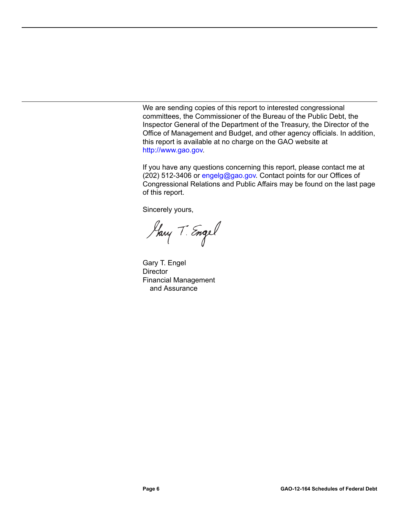We are sending copies of this report to interested congressional committees, the Commissioner of the Bureau of the Public Debt, the Inspector General of the Department of the Treasury, the Director of the Office of Management and Budget, and other agency officials. In addition, this report is available at no charge on the GAO website at [http://www.gao.gov.](http://www.gao.gov)

If you have any questions concerning this report, please contact me at (202) 512-3406 or [engelg@gao.gov.](mailto:engelg@gao.gov) Contact points for our Offices of Congressional Relations and Public Affairs may be found on the last page of this report.

Sincerely yours,

Harry T. Engel

Gary T. Engel **Director** Financial Management and Assurance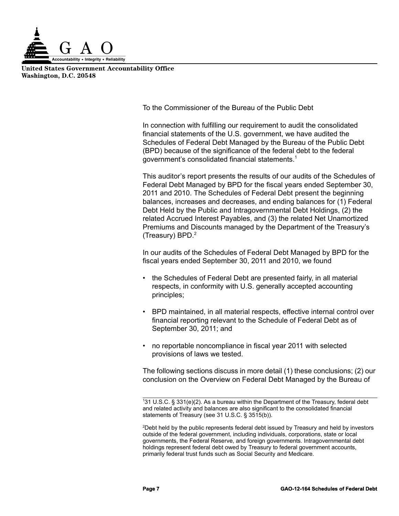

**United States Government Accountability Office Washington, D.C. 20548**

<span id="page-9-0"></span>To the Commissioner of the Bureau of the Public Debt

In connection with fulfilling our requirement to audit the consolidated financial statements of the U.S. government, we have audited the Schedules of Federal Debt Managed by the Bureau of the Public Debt (BPD) because of the significance of the federal debt to the federal government's consolidated financial statements.<sup>1</sup>

This auditor's report presents the results of our audits of the Schedules of Federal Debt Managed by BPD for the fiscal years ended September 30, 2011 and 2010. The Schedules of Federal Debt present the beginning balances, increases and decreases, and ending balances for (1) Federal Debt Held by the Public and Intragovernmental Debt Holdings, (2) the related Accrued Interest Payables, and (3) the related Net Unamortized Premiums and Discounts managed by the Department of the Treasury's (Treasury) BPD.<sup>2</sup>

In our audits of the Schedules of Federal Debt Managed by BPD for the fiscal years ended September 30, 2011 and 2010, we found

- the Schedules of Federal Debt are presented fairly, in all material respects, in conformity with U.S. generally accepted accounting principles;
- BPD maintained, in all material respects, effective internal control over financial reporting relevant to the Schedule of Federal Debt as of September 30, 2011; and
- no reportable noncompliance in fiscal year 2011 with selected provisions of laws we tested.

The following sections discuss in more detail (1) these conclusions; (2) our conclusion on the Overview on Federal Debt Managed by the Bureau of

2 Debt held by the public represents federal debt issued by Treasury and held by investors outside of the federal government, including individuals, corporations, state or local governments, the Federal Reserve, and foreign governments. Intragovernmental debt holdings represent federal debt owed by Treasury to federal government accounts, primarily federal trust funds such as Social Security and Medicare.

<sup>1</sup> 31 U.S.C. § 331(e)(2). As a bureau within the Department of the Treasury, federal debt and related activity and balances are also significant to the consolidated financial statements of Treasury (see 31 U.S.C. § 3515(b)).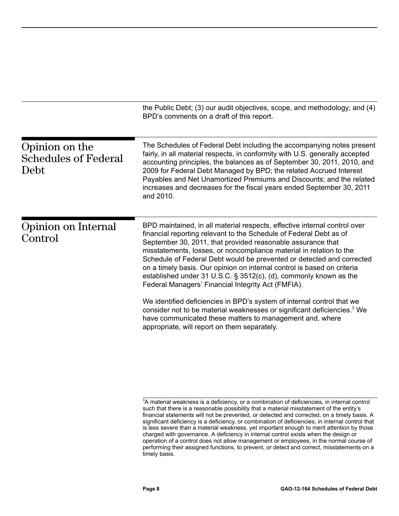<span id="page-10-1"></span><span id="page-10-0"></span>

|                                                       | the Public Debt; (3) our audit objectives, scope, and methodology; and (4)<br>BPD's comments on a draft of this report.                                                                                                                                                                                                                                                                                                                                                                                                                                              |
|-------------------------------------------------------|----------------------------------------------------------------------------------------------------------------------------------------------------------------------------------------------------------------------------------------------------------------------------------------------------------------------------------------------------------------------------------------------------------------------------------------------------------------------------------------------------------------------------------------------------------------------|
| Opinion on the<br><b>Schedules of Federal</b><br>Debt | The Schedules of Federal Debt including the accompanying notes present<br>fairly, in all material respects, in conformity with U.S. generally accepted<br>accounting principles, the balances as of September 30, 2011, 2010, and<br>2009 for Federal Debt Managed by BPD; the related Accrued Interest<br>Payables and Net Unamortized Premiums and Discounts; and the related<br>increases and decreases for the fiscal years ended September 30, 2011<br>and 2010.                                                                                                |
| Opinion on Internal<br>Control                        | BPD maintained, in all material respects, effective internal control over<br>financial reporting relevant to the Schedule of Federal Debt as of<br>September 30, 2011, that provided reasonable assurance that<br>misstatements, losses, or noncompliance material in relation to the<br>Schedule of Federal Debt would be prevented or detected and corrected<br>on a timely basis. Our opinion on internal control is based on criteria<br>established under 31 U.S.C. § 3512(c), (d), commonly known as the<br>Federal Managers' Financial Integrity Act (FMFIA). |
|                                                       | We identified deficiencies in BPD's system of internal control that we<br>consider not to be material weaknesses or significant deficiencies. <sup>3</sup> We<br>have communicated these matters to management and, where<br>appropriate, will report on them separately.                                                                                                                                                                                                                                                                                            |

<sup>3</sup> A material weakness is a deficiency, or a combination of deficiencies, in internal control such that there is a reasonable possibility that a material misstatement of the entity's financial statements will not be prevented, or detected and corrected, on a timely basis. A significant deficiency is a deficiency, or combination of deficiencies, in internal control that is less severe than a material weakness, yet important enough to merit attention by those charged with governance. A deficiency in internal control exists when the design or operation of a control does not allow management or employees, in the normal course of performing their assigned functions, to prevent, or detect and correct, misstatements on a timely basis.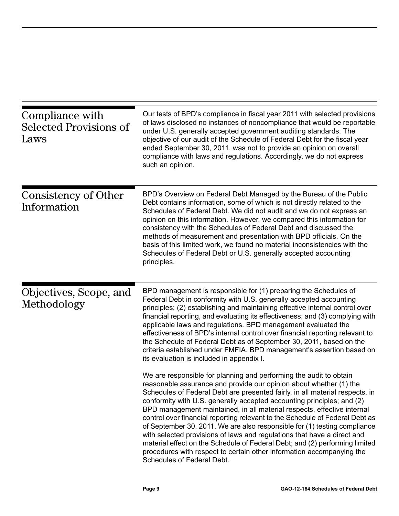<span id="page-11-2"></span><span id="page-11-1"></span><span id="page-11-0"></span>

| Compliance with<br><b>Selected Provisions of</b><br>Laws | Our tests of BPD's compliance in fiscal year 2011 with selected provisions<br>of laws disclosed no instances of noncompliance that would be reportable<br>under U.S. generally accepted government auditing standards. The<br>objective of our audit of the Schedule of Federal Debt for the fiscal year<br>ended September 30, 2011, was not to provide an opinion on overall<br>compliance with laws and regulations. Accordingly, we do not express<br>such an opinion.                                                                                                                                                                                                                                                                                                                                  |
|----------------------------------------------------------|-------------------------------------------------------------------------------------------------------------------------------------------------------------------------------------------------------------------------------------------------------------------------------------------------------------------------------------------------------------------------------------------------------------------------------------------------------------------------------------------------------------------------------------------------------------------------------------------------------------------------------------------------------------------------------------------------------------------------------------------------------------------------------------------------------------|
| Consistency of Other<br>Information                      | BPD's Overview on Federal Debt Managed by the Bureau of the Public<br>Debt contains information, some of which is not directly related to the<br>Schedules of Federal Debt. We did not audit and we do not express an<br>opinion on this information. However, we compared this information for<br>consistency with the Schedules of Federal Debt and discussed the<br>methods of measurement and presentation with BPD officials. On the<br>basis of this limited work, we found no material inconsistencies with the<br>Schedules of Federal Debt or U.S. generally accepted accounting<br>principles.                                                                                                                                                                                                    |
| Objectives, Scope, and<br>Methodology                    | BPD management is responsible for (1) preparing the Schedules of<br>Federal Debt in conformity with U.S. generally accepted accounting<br>principles; (2) establishing and maintaining effective internal control over<br>financial reporting, and evaluating its effectiveness; and (3) complying with<br>applicable laws and regulations. BPD management evaluated the<br>effectiveness of BPD's internal control over financial reporting relevant to<br>the Schedule of Federal Debt as of September 30, 2011, based on the<br>criteria established under FMFIA. BPD management's assertion based on<br>its evaluation is included in appendix I.                                                                                                                                                       |
|                                                          | We are responsible for planning and performing the audit to obtain<br>reasonable assurance and provide our opinion about whether (1) the<br>Schedules of Federal Debt are presented fairly, in all material respects, in<br>conformity with U.S. generally accepted accounting principles; and (2)<br>BPD management maintained, in all material respects, effective internal<br>control over financial reporting relevant to the Schedule of Federal Debt as<br>of September 30, 2011. We are also responsible for (1) testing compliance<br>with selected provisions of laws and regulations that have a direct and<br>material effect on the Schedule of Federal Debt; and (2) performing limited<br>procedures with respect to certain other information accompanying the<br>Schedules of Federal Debt. |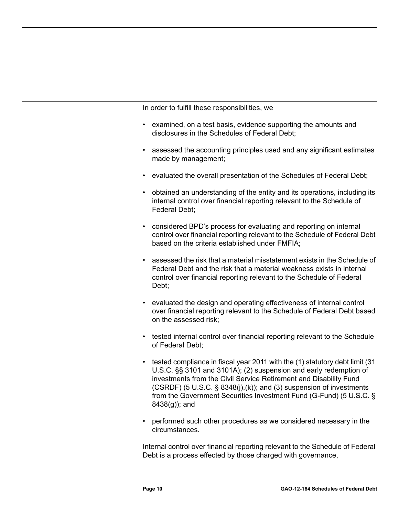In order to fulfill these responsibilities, we

- examined, on a test basis, evidence supporting the amounts and disclosures in the Schedules of Federal Debt;
- assessed the accounting principles used and any significant estimates made by management;
- evaluated the overall presentation of the Schedules of Federal Debt;
- obtained an understanding of the entity and its operations, including its internal control over financial reporting relevant to the Schedule of Federal Debt;
- considered BPD's process for evaluating and reporting on internal control over financial reporting relevant to the Schedule of Federal Debt based on the criteria established under FMFIA;
- assessed the risk that a material misstatement exists in the Schedule of Federal Debt and the risk that a material weakness exists in internal control over financial reporting relevant to the Schedule of Federal Debt;
- evaluated the design and operating effectiveness of internal control over financial reporting relevant to the Schedule of Federal Debt based on the assessed risk;
- tested internal control over financial reporting relevant to the Schedule of Federal Debt;
- tested compliance in fiscal year 2011 with the (1) statutory debt limit (31 U.S.C. §§ 3101 and 3101A); (2) suspension and early redemption of investments from the Civil Service Retirement and Disability Fund  $(CSRDF)$  (5 U.S.C. § 8348(j),(k)); and (3) suspension of investments from the Government Securities Investment Fund (G-Fund) (5 U.S.C. § 8438(g)); and
- performed such other procedures as we considered necessary in the circumstances.

Internal control over financial reporting relevant to the Schedule of Federal Debt is a process effected by those charged with governance,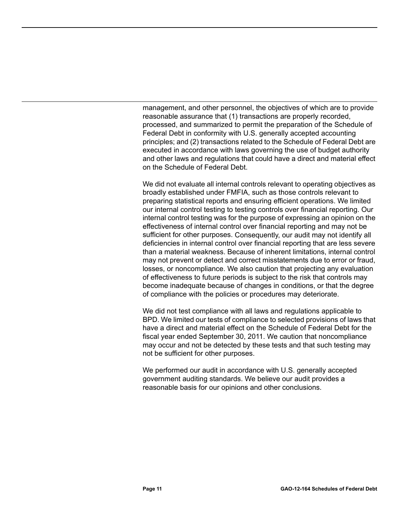management, and other personnel, the objectives of which are to provide reasonable assurance that (1) transactions are properly recorded, processed, and summarized to permit the preparation of the Schedule of Federal Debt in conformity with U.S. generally accepted accounting principles; and (2) transactions related to the Schedule of Federal Debt are executed in accordance with laws governing the use of budget authority and other laws and regulations that could have a direct and material effect on the Schedule of Federal Debt.

We did not evaluate all internal controls relevant to operating objectives as broadly established under FMFIA, such as those controls relevant to preparing statistical reports and ensuring efficient operations. We limited our internal control testing to testing controls over financial reporting. Our internal control testing was for the purpose of expressing an opinion on the effectiveness of internal control over financial reporting and may not be sufficient for other purposes. Consequently, our audit may not identify all deficiencies in internal control over financial reporting that are less severe than a material weakness. Because of inherent limitations, internal control may not prevent or detect and correct misstatements due to error or fraud, losses, or noncompliance. We also caution that projecting any evaluation of effectiveness to future periods is subject to the risk that controls may become inadequate because of changes in conditions, or that the degree of compliance with the policies or procedures may deteriorate.

We did not test compliance with all laws and regulations applicable to BPD. We limited our tests of compliance to selected provisions of laws that have a direct and material effect on the Schedule of Federal Debt for the fiscal year ended September 30, 2011. We caution that noncompliance may occur and not be detected by these tests and that such testing may not be sufficient for other purposes.

We performed our audit in accordance with U.S. generally accepted government auditing standards. We believe our audit provides a reasonable basis for our opinions and other conclusions.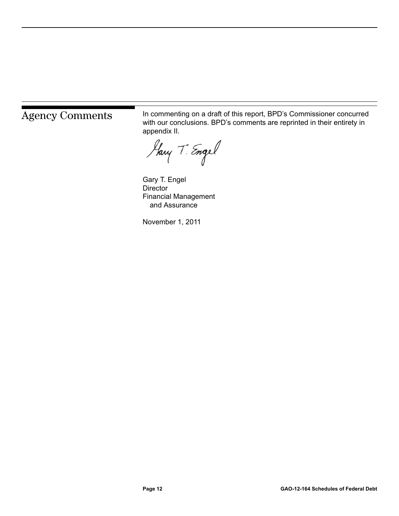<span id="page-14-0"></span>Agency Comments In commenting on a draft of this report, BPD's Commissioner concurred<br>
With our conclusions BPD's comments are repristed in their entirety in with our conclusions. BPD's comments are reprinted in their entirety in appendix II.

Harry T. Engel

Gary T. Engel **Director** Financial Management and Assurance

November 1, 2011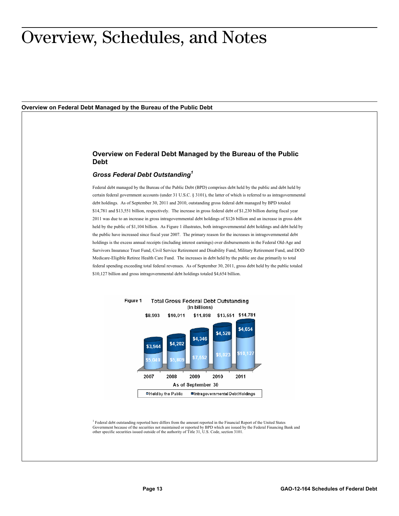### <span id="page-15-0"></span>Overview, Schedules, and Notes

<span id="page-15-1"></span>**Overview on Federal Debt Managed by the Bureau of the Public Debt**

#### **Overview on Federal Debt Managed by the Bureau of the Public Debt**

#### *Gross Federal Debt Outstanding<sup>1</sup>*

Federal debt managed by the Bureau of the Public Debt (BPD) comprises debt held by the public and debt held by certain federal government accounts (under 31 U.S.C. § 3101), the latter of which is referred to as intragovernmental debt holdings. As of September 30, 2011 and 2010, outstanding gross federal debt managed by BPD totaled \$14,781 and \$13,551 billion, respectively. The increase in gross federal debt of \$1,230 billion during fiscal year 2011 was due to an increase in gross intragovernmental debt holdings of \$126 billion and an increase in gross debt held by the public of \$1,104 billion. As Figure 1 illustrates, both intragovernmental debt holdings and debt held by the public have increased since fiscal year 2007. The primary reason for the increases in intragovernmental debt holdings is the excess annual receipts (including interest earnings) over disbursements in the Federal Old-Age and Survivors Insurance Trust Fund, Civil Service Retirement and Disability Fund, Military Retirement Fund, and DOD Medicare-Eligible Retiree Health Care Fund. The increases in debt held by the public are due primarily to total federal spending exceeding total federal revenues. As of September 30, 2011, gross debt held by the public totaled \$10,127 billion and gross intragovernmental debt holdings totaled \$4,654 billion.



<sup>1</sup> Federal debt outstanding reported here differs from the amount reported in the Financial Report of the United States<br>Government because of the securities not maintained or reported by BPD which are issued by the Federa other specific securities issued outside of the authority of Title 31, U.S. Code, section 3101.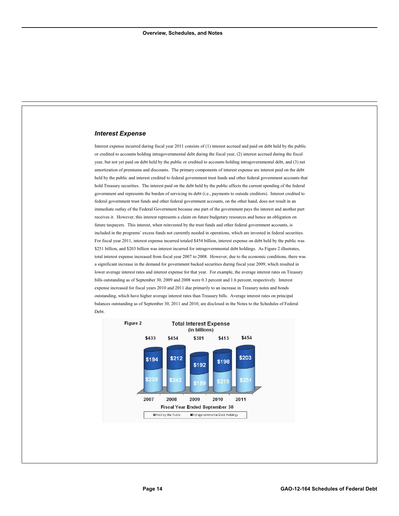#### *Interest Expense*

Interest expense incurred during fiscal year 2011 consists of (1) interest accrued and paid on debt held by the public or credited to accounts holding intragovernmental debt during the fiscal year, (2) interest accrued during the fiscal year, but not yet paid on debt held by the public or credited to accounts holding intragovernmental debt, and (3) net amortization of premiums and discounts. The primary components of interest expense are interest paid on the debt held by the public and interest credited to federal government trust funds and other federal government accounts that hold Treasury securities. The interest paid on the debt held by the public affects the current spending of the federal government and represents the burden of servicing its debt (i.e., payments to outside creditors). Interest credited to federal government trust funds and other federal government accounts, on the other hand, does not result in an immediate outlay of the Federal Government because one part of the government pays the interest and another part receives it. However, this interest represents a claim on future budgetary resources and hence an obligation on future taxpayers. This interest, when reinvested by the trust funds and other federal government accounts, is included in the programs' excess funds not currently needed in operations, which are invested in federal securities. For fiscal year 2011, interest expense incurred totaled \$454 billion, interest expense on debt held by the public was \$251 billion, and \$203 billion was interest incurred for intragovernmental debt holdings. As Figure 2 illustrates, total interest expense increased from fiscal year 2007 to 2008. However, due to the economic conditions, there was a significant increase in the demand for government backed securities during fiscal year 2009, which resulted in lower average interest rates and interest expense for that year. For example, the average interest rates on Treasury bills outstanding as of September 30, 2009 and 2008 were 0.3 percent and 1.6 percent, respectively. Interest expense increased for fiscal years 2010 and 2011 due primarily to an increase in Treasury notes and bonds outstanding, which have higher average interest rates than Treasury bills. Average interest rates on principal balances outstanding as of September 30, 2011 and 2010, are disclosed in the Notes to the Schedules of Federal Debt.

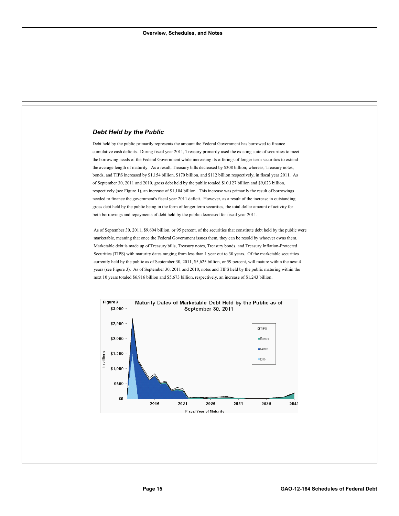#### *Debt Held by the Public*

Debt held by the public primarily represents the amount the Federal Government has borrowed to finance cumulative cash deficits. During fiscal year 2011, Treasury primarily used the existing suite of securities to meet the borrowing needs of the Federal Government while increasing its offerings of longer term securities to extend the average length of maturity. As a result, Treasury bills decreased by \$308 billion; whereas, Treasury notes, bonds, and TIPS increased by \$1,154 billion, \$170 billion, and \$112 billion respectively, in fiscal year 2011**.** As of September 30, 2011 and 2010, gross debt held by the public totaled \$10,127 billion and \$9,023 billion, respectively (see Figure 1), an increase of \$1,104 billion. This increase was primarily the result of borrowings needed to finance the government's fiscal year 2011 deficit. However, as a result of the increase in outstanding gross debt held by the public being in the form of longer term securities, the total dollar amount of activity for both borrowings and repayments of debt held by the public decreased for fiscal year 2011.

As of September 30, 2011, \$9,604 billion, or 95 percent, of the securities that constitute debt held by the public were marketable, meaning that once the Federal Government issues them, they can be resold by whoever owns them. Marketable debt is made up of Treasury bills, Treasury notes, Treasury bonds, and Treasury Inflation-Protected Securities (TIPS) with maturity dates ranging from less than 1 year out to 30 years. Of the marketable securities currently held by the public as of September 30, 2011, \$5,625 billion, or 59 percent, will mature within the next 4 years (see Figure 3). As of September 30, 2011 and 2010, notes and TIPS held by the public maturing within the next 10 years totaled \$6,916 billion and \$5,673 billion, respectively, an increase of \$1,243 billion.

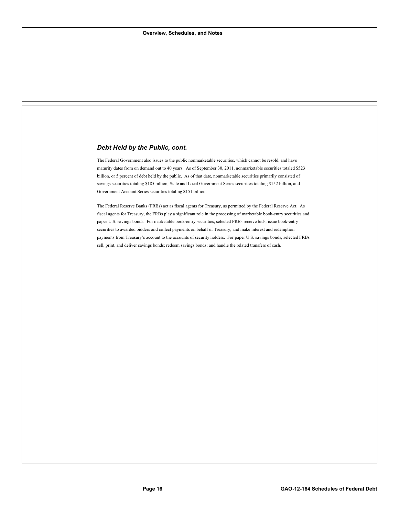#### *Debt Held by the Public, cont.*

The Federal Government also issues to the public nonmarketable securities, which cannot be resold, and have maturity dates from on demand out to 40 years. As of September 30, 2011, nonmarketable securities totaled \$523 billion, or 5 percent of debt held by the public. As of that date, nonmarketable securities primarily consisted of savings securities totaling \$185 billion, State and Local Government Series securities totaling \$152 billion, and Government Account Series securities totaling \$151 billion.

The Federal Reserve Banks (FRBs) act as fiscal agents for Treasury, as permitted by the Federal Reserve Act. As fiscal agents for Treasury, the FRBs play a significant role in the processing of marketable book-entry securities and paper U.S. savings bonds. For marketable book-entry securities, selected FRBs receive bids; issue book-entry securities to awarded bidders and collect payments on behalf of Treasury; and make interest and redemption payments from Treasury's account to the accounts of security holders. For paper U.S. savings bonds, selected FRBs sell, print, and deliver savings bonds; redeem savings bonds; and handle the related transfers of cash.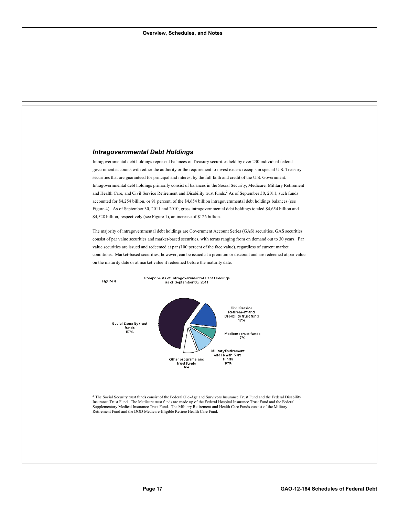#### *Intragovernmental Debt Holdings*

Intragovernmental debt holdings represent balances of Treasury securities held by over 230 individual federal government accounts with either the authority or the requirement to invest excess receipts in special U.S. Treasury securities that are guaranteed for principal and interest by the full faith and credit of the U.S. Government. Intragovernmental debt holdings primarily consist of balances in the Social Security, Medicare, Military Retirement and Health Care, and Civil Service Retirement and Disability trust funds.<sup>2</sup> As of September 30, 2011, such funds accounted for \$4,254 billion, or 91 percent, of the \$4,654 billion intragovernmental debt holdings balances (see Figure 4). As of September 30, 2011 and 2010, gross intragovernmental debt holdings totaled \$4,654 billion and \$4,528 billion, respectively (see Figure 1), an increase of \$126 billion.

The majority of intragovernmental debt holdings are Government Account Series (GAS) securities. GAS securities consist of par value securities and market-based securities, with terms ranging from on demand out to 30 years. Par value securities are issued and redeemed at par (100 percent of the face value), regardless of current market conditions. Market-based securities, however, can be issued at a premium or discount and are redeemed at par value on the maturity date or at market value if redeemed before the maturity date.



<sup>2</sup> The Social Security trust funds consist of the Federal Old-Age and Survivors Insurance Trust Fund and the Federal Disability Insurance Trust Fund. The Medicare trust funds are made up of the Federal Hospital Insurance Trust Fund and the Federal Supplementary Medical Insurance Trust Fund. The Military Retirement and Health Care Funds consist of the Military Retirement Fund and the DOD Medicare-Eligible Retiree Health Care Fund.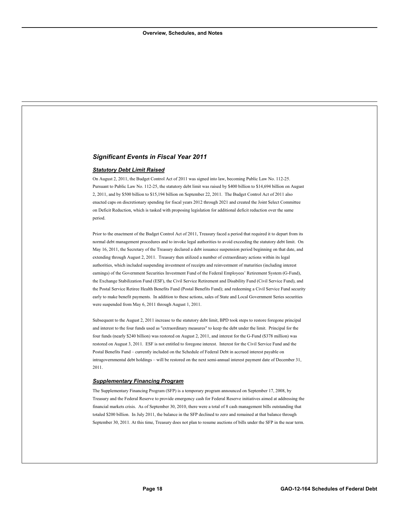#### *Significant Events in Fiscal Year 2011*

#### *Statutory Debt Limit Raised*

On August 2, 2011, the Budget Control Act of 2011 was signed into law, becoming Public Law No. 112-25. Pursuant to Public Law No. 112-25, the statutory debt limit was raised by \$400 billion to \$14,694 billion on August 2, 2011, and by \$500 billion to \$15,194 billion on September 22, 2011. The Budget Control Act of 2011 also enacted caps on discretionary spending for fiscal years 2012 through 2021 and created the Joint Select Committee on Deficit Reduction, which is tasked with proposing legislation for additional deficit reduction over the same period.

Prior to the enactment of the Budget Control Act of 2011, Treasury faced a period that required it to depart from its normal debt management procedures and to invoke legal authorities to avoid exceeding the statutory debt limit. On May 16, 2011, the Secretary of the Treasury declared a debt issuance suspension period beginning on that date, and extending through August 2, 2011. Treasury then utilized a number of extraordinary actions within its legal authorities, which included suspending investment of receipts and reinvestment of maturities (including interest earnings) of the Government Securities Investment Fund of the Federal Employees' Retirement System (G-Fund), the Exchange Stabilization Fund (ESF), the Civil Service Retirement and Disability Fund (Civil Service Fund), and the Postal Service Retiree Health Benefits Fund (Postal Benefits Fund); and redeeming a Civil Service Fund security early to make benefit payments. In addition to these actions, sales of State and Local Government Series securities were suspended from May 6, 2011 through August 1, 2011.

Subsequent to the August 2, 2011 increase to the statutory debt limit, BPD took steps to restore foregone principal and interest to the four funds used as "extraordinary measures" to keep the debt under the limit. Principal for the four funds (nearly \$240 billion) was restored on August 2, 2011, and interest for the G-Fund (\$378 million) was restored on August 3, 2011. ESF is not entitled to foregone interest. Interest for the Civil Service Fund and the Postal Benefits Fund – currently included on the Schedule of Federal Debt in accrued interest payable on intragovernmental debt holdings – will be restored on the next semi-annual interest payment date of December 31, 2011.

#### *Supplementary Financing Program*

The Supplementary Financing Program (SFP) is a temporary program announced on September 17, 2008, by Treasury and the Federal Reserve to provide emergency cash for Federal Reserve initiatives aimed at addressing the financial markets crisis. As of September 30, 2010, there were a total of 8 cash management bills outstanding that totaled \$200 billion. In July 2011, the balance in the SFP declined to zero and remained at that balance through September 30, 2011. At this time, Treasury does not plan to resume auctions of bills under the SFP in the near term.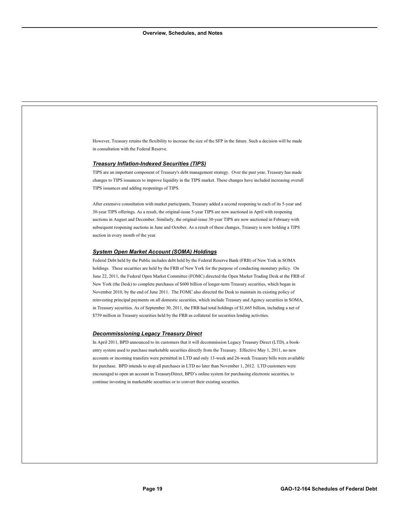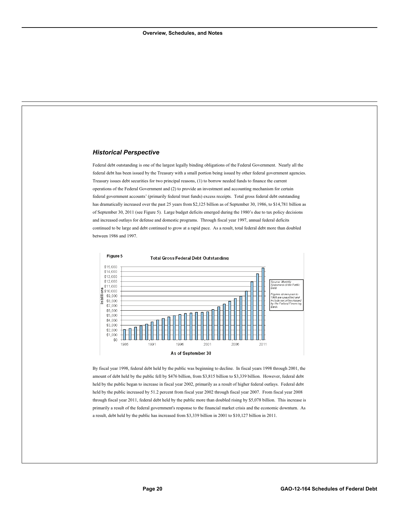#### *Historical Perspective*

Federal debt outstanding is one of the largest legally binding obligations of the Federal Government. Nearly all the federal debt has been issued by the Treasury with a small portion being issued by other federal government agencies. Treasury issues debt securities for two principal reasons, (1) to borrow needed funds to finance the current operations of the Federal Government and (2) to provide an investment and accounting mechanism for certain federal government accounts' (primarily federal trust funds) excess receipts. Total gross federal debt outstanding has dramatically increased over the past 25 years from \$2,125 billion as of September 30, 1986, to \$14,781 billion as of September 30, 2011 (see Figure 5). Large budget deficits emerged during the 1980's due to tax policy decisions and increased outlays for defense and domestic programs. Through fiscal year 1997, annual federal deficits continued to be large and debt continued to grow at a rapid pace. As a result, total federal debt more than doubled between 1986 and 1997.



By fiscal year 1998, federal debt held by the public was beginning to decline. In fiscal years 1998 through 2001, the amount of debt held by the public fell by \$476 billion, from \$3,815 billion to \$3,339 billion. However, federal debt held by the public began to increase in fiscal year 2002, primarily as a result of higher federal outlays. Federal debt held by the public increased by 51.2 percent from fiscal year 2002 through fiscal year 2007. From fiscal year 2008 through fiscal year 2011, federal debt held by the public more than doubled rising by \$5,078 billion. This increase is primarily a result of the federal government's response to the financial market crisis and the economic downturn. As a result, debt held by the public has increased from \$3,339 billion in 2001 to \$10,127 billion in 2011.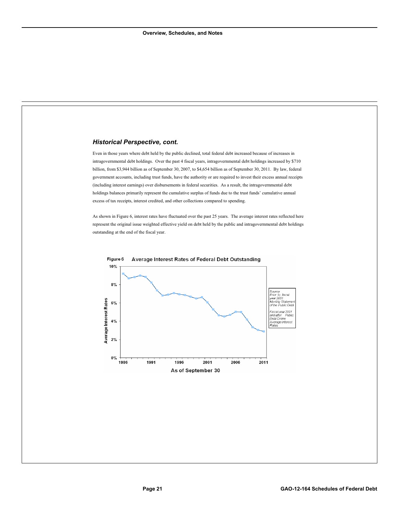#### *Historical Perspective, cont.*

Even in those years where debt held by the public declined, total federal debt increased because of increases in intragovernmental debt holdings. Over the past 4 fiscal years, intragovernmental debt holdings increased by \$710 billion, from \$3,944 billion as of September 30, 2007, to \$4,654 billion as of September 30, 2011. By law, federal government accounts, including trust funds, have the authority or are required to invest their excess annual receipts (including interest earnings) over disbursements in federal securities. As a result, the intragovernmental debt holdings balances primarily represent the cumulative surplus of funds due to the trust funds' cumulative annual excess of tax receipts, interest credited, and other collections compared to spending.

As shown in Figure 6, interest rates have fluctuated over the past 25 years. The average interest rates reflected here represent the original issue weighted effective yield on debt held by the public and intragovernmental debt holdings outstanding at the end of the fiscal year.

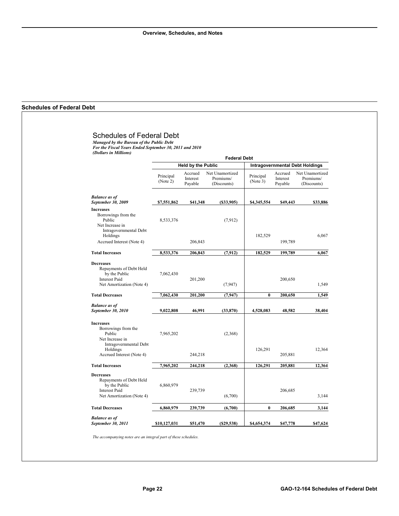#### <span id="page-24-0"></span>**Schedules of Federal Debt**

#### Schedules of Federal Debt

*Managed by the Bureau of the Public Debt For the Fiscal Years Ended September 30, 2011 and 2010 (Dollars in Millions)* 

| <b>Federal Debt</b>   |                                |                                             |                                                                                                                                                     |                                |                                                                                                                        |
|-----------------------|--------------------------------|---------------------------------------------|-----------------------------------------------------------------------------------------------------------------------------------------------------|--------------------------------|------------------------------------------------------------------------------------------------------------------------|
|                       |                                |                                             | <b>Intragovernmental Debt Holdings</b>                                                                                                              |                                |                                                                                                                        |
| Principal<br>(Note 2) | Accrued<br>Interest<br>Payable | Net Unamortized<br>Premiums/<br>(Discounts) | Principal<br>(Note 3)                                                                                                                               | Accrued<br>Interest<br>Payable | Net Unamortized<br>Premiums/<br>(Discounts)                                                                            |
| \$7,551,862           |                                | $($ \$33,905)                               | \$4,345,554                                                                                                                                         |                                | \$33,886                                                                                                               |
| 8,533,376             |                                | (7,912)                                     |                                                                                                                                                     |                                | 6.067                                                                                                                  |
|                       |                                |                                             |                                                                                                                                                     |                                |                                                                                                                        |
| 8,533,376             |                                | (7, 912)                                    | 182,529                                                                                                                                             |                                | 6.067                                                                                                                  |
| 7,062,430             |                                | (7,947)                                     |                                                                                                                                                     |                                | 1,549                                                                                                                  |
| 7,062,430             |                                | (7, 947)                                    | $\bf{0}$                                                                                                                                            |                                | 1,549                                                                                                                  |
| 9,022,808             |                                | (33,870)                                    | 4.528.083                                                                                                                                           |                                | 38,404                                                                                                                 |
| 7,965,202             |                                | (2,368)                                     |                                                                                                                                                     |                                |                                                                                                                        |
|                       |                                |                                             |                                                                                                                                                     |                                | 12,364                                                                                                                 |
| 7,965,202             |                                | (2,368)                                     | 126,291                                                                                                                                             |                                | 12,364                                                                                                                 |
| 6,860,979             |                                | (6,700)                                     |                                                                                                                                                     |                                | 3,144                                                                                                                  |
| 6,860,979             |                                | (6,700)                                     | $\bf{0}$                                                                                                                                            |                                | 3,144                                                                                                                  |
| \$10,127,031          |                                | $($ \$29,538)                               | \$4,654,374                                                                                                                                         |                                | \$47,624                                                                                                               |
|                       |                                |                                             | <b>Held by the Public</b><br>\$41,348<br>206,843<br>206,843<br>201,200<br>201,200<br>46,991<br>244,218<br>244,218<br>239,739<br>239,739<br>\$51,470 | 182,529<br>126,291             | \$49,443<br>199,789<br>199,789<br>200,650<br>200,650<br>48,582<br>205,881<br>205,881<br>206,685<br>206,685<br>\$47,778 |

*The accompanying notes are an integral part of these schedules.*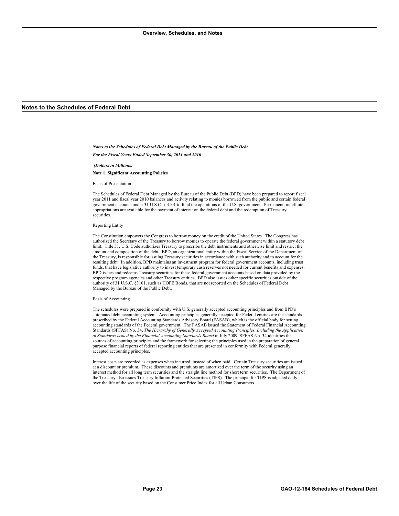#### <span id="page-25-0"></span>**Notes to the Schedules of Federal Debt**

*Notes to the Schedules of Federal Debt Managed by the Bureau of the Public Debt For the Fiscal Years Ended September 30, 2011 and 2010* 

 *(Dollars in Millions)* 

**Note 1. Significant Accounting Policies** 

Basis of Presentation

The Schedules of Federal Debt Managed by the Bureau of the Public Debt (BPD) have been prepared to report fiscal year 2011 and fiscal year 2010 balances and activity relating to monies borrowed from the public and certain federal government accounts under 31 U.S.C. § 3101 to fund the operations of the U.S. government. Permanent, indefinite appropriations are available for the payment of interest on the federal debt and the redemption of Treasury securities.

#### Reporting Entity

The Constitution empowers the Congress to borrow money on the credit of the United States. The Congress has authorized the Secretary of the Treasury to borrow monies to operate the federal government within a statutory debt limit. Title 31, U.S. Code authorizes Treasury to prescribe the debt instruments and otherwise limit and restrict the amount and composition of the debt. BPD, an organizational entity within the Fiscal Service of the Department of the Treasury, is responsible for issuing Treasury securities in accordance with such authority and to account for the resulting debt. In addition, BPD maintains an investment program for federal government accounts, including trust funds, that have legislative authority to invest temporary cash reserves not needed for current benefits and expenses. BPD issues and redeems Treasury securities for these federal government accounts based on data provided by the respective program agencies and other Treasury entities. BPD also issues other specific securities outside of the authority of 31 U.S.C. §3101, such as HOPE Bonds, that are not reported on the Schedules of Federal Debt Managed by the Bureau of the Public Debt.

#### Basis of Accounting

The schedules were prepared in conformity with U.S. generally accepted accounting principles and from BPD's automated debt accounting system. Accounting principles generally accepted for Federal entities are the standards prescribed by the Federal Accounting Standards Advisory Board (FASAB), which is the official body for setting accounting standards of the Federal government. The FASAB issued the Statement of Federal Financial Accounting Standards (SFFAS) No. 34, *The Hierarchy of Generally Accepted Accounting Principles, Including the Application of Standards Issued by the Financial Accounting Standards Board* in July 2009. SFFAS No. 34 identifies the sources of accounting principles and the framework for selecting the principles used in the preparation of general purpose financial reports of federal reporting entities that are presented in conformity with Federal generally accepted accounting principles.

Interest costs are recorded as expenses when incurred, instead of when paid. Certain Treasury securities are issued at a discount or premium. These discounts and premiums are amortized over the term of the security using an interest method for all long term securities and the straight line method for short term securities. The Department of the Treasury also issues Treasury Inflation-Protected Securities (TIPS). The principal for TIPS is adjusted daily over the life of the security based on the Consumer Price Index for all Urban Consumers.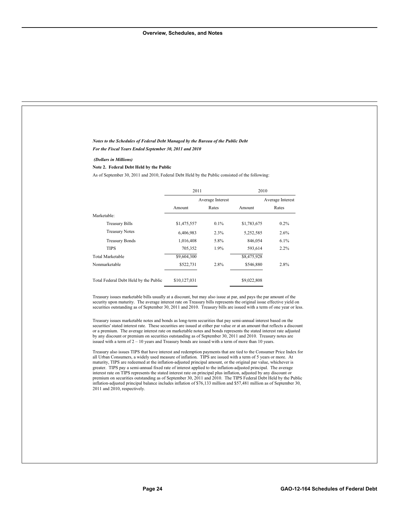| Notes to the Schedules of Federal Debt Managed by the Bureau of the Public Debt<br>For the Fiscal Years Ended September 30, 2011 and 2010                                                                                                                                                                                                                                                                                                                                                                                                                                                                                                                                                                                                                                                                                                                                                                                                                                                                                                                                                                                                                                                                                                                                                                                                                                                                                                                                                                                                                                                                                                                                                                                                                                                                                               |              |                  |             |                  |
|-----------------------------------------------------------------------------------------------------------------------------------------------------------------------------------------------------------------------------------------------------------------------------------------------------------------------------------------------------------------------------------------------------------------------------------------------------------------------------------------------------------------------------------------------------------------------------------------------------------------------------------------------------------------------------------------------------------------------------------------------------------------------------------------------------------------------------------------------------------------------------------------------------------------------------------------------------------------------------------------------------------------------------------------------------------------------------------------------------------------------------------------------------------------------------------------------------------------------------------------------------------------------------------------------------------------------------------------------------------------------------------------------------------------------------------------------------------------------------------------------------------------------------------------------------------------------------------------------------------------------------------------------------------------------------------------------------------------------------------------------------------------------------------------------------------------------------------------|--------------|------------------|-------------|------------------|
|                                                                                                                                                                                                                                                                                                                                                                                                                                                                                                                                                                                                                                                                                                                                                                                                                                                                                                                                                                                                                                                                                                                                                                                                                                                                                                                                                                                                                                                                                                                                                                                                                                                                                                                                                                                                                                         |              |                  |             |                  |
| (Dollars in Millions)<br>Note 2. Federal Debt Held by the Public                                                                                                                                                                                                                                                                                                                                                                                                                                                                                                                                                                                                                                                                                                                                                                                                                                                                                                                                                                                                                                                                                                                                                                                                                                                                                                                                                                                                                                                                                                                                                                                                                                                                                                                                                                        |              |                  |             |                  |
| As of September 30, 2011 and 2010, Federal Debt Held by the Public consisted of the following:                                                                                                                                                                                                                                                                                                                                                                                                                                                                                                                                                                                                                                                                                                                                                                                                                                                                                                                                                                                                                                                                                                                                                                                                                                                                                                                                                                                                                                                                                                                                                                                                                                                                                                                                          |              |                  |             |                  |
|                                                                                                                                                                                                                                                                                                                                                                                                                                                                                                                                                                                                                                                                                                                                                                                                                                                                                                                                                                                                                                                                                                                                                                                                                                                                                                                                                                                                                                                                                                                                                                                                                                                                                                                                                                                                                                         |              |                  |             |                  |
|                                                                                                                                                                                                                                                                                                                                                                                                                                                                                                                                                                                                                                                                                                                                                                                                                                                                                                                                                                                                                                                                                                                                                                                                                                                                                                                                                                                                                                                                                                                                                                                                                                                                                                                                                                                                                                         | 2011         |                  | 2010        |                  |
|                                                                                                                                                                                                                                                                                                                                                                                                                                                                                                                                                                                                                                                                                                                                                                                                                                                                                                                                                                                                                                                                                                                                                                                                                                                                                                                                                                                                                                                                                                                                                                                                                                                                                                                                                                                                                                         |              | Average Interest |             | Average Interest |
|                                                                                                                                                                                                                                                                                                                                                                                                                                                                                                                                                                                                                                                                                                                                                                                                                                                                                                                                                                                                                                                                                                                                                                                                                                                                                                                                                                                                                                                                                                                                                                                                                                                                                                                                                                                                                                         | Amount       | Rates            | Amount      | Rates            |
| Marketable:                                                                                                                                                                                                                                                                                                                                                                                                                                                                                                                                                                                                                                                                                                                                                                                                                                                                                                                                                                                                                                                                                                                                                                                                                                                                                                                                                                                                                                                                                                                                                                                                                                                                                                                                                                                                                             |              |                  |             |                  |
| <b>Treasury Bills</b>                                                                                                                                                                                                                                                                                                                                                                                                                                                                                                                                                                                                                                                                                                                                                                                                                                                                                                                                                                                                                                                                                                                                                                                                                                                                                                                                                                                                                                                                                                                                                                                                                                                                                                                                                                                                                   | \$1,475,557  | 0.1%             | \$1,783,675 | 0.2%             |
| <b>Treasury Notes</b>                                                                                                                                                                                                                                                                                                                                                                                                                                                                                                                                                                                                                                                                                                                                                                                                                                                                                                                                                                                                                                                                                                                                                                                                                                                                                                                                                                                                                                                                                                                                                                                                                                                                                                                                                                                                                   | 6,406,983    | 2.3%             | 5,252,585   | 2.6%             |
| <b>Treasury Bonds</b>                                                                                                                                                                                                                                                                                                                                                                                                                                                                                                                                                                                                                                                                                                                                                                                                                                                                                                                                                                                                                                                                                                                                                                                                                                                                                                                                                                                                                                                                                                                                                                                                                                                                                                                                                                                                                   | 1,016,408    | 5.8%             | 846,054     | 6.1%             |
| <b>TIPS</b>                                                                                                                                                                                                                                                                                                                                                                                                                                                                                                                                                                                                                                                                                                                                                                                                                                                                                                                                                                                                                                                                                                                                                                                                                                                                                                                                                                                                                                                                                                                                                                                                                                                                                                                                                                                                                             | 705,352      | 1.9%             | 593,614     | 2.2%             |
| <b>Total Marketable</b>                                                                                                                                                                                                                                                                                                                                                                                                                                                                                                                                                                                                                                                                                                                                                                                                                                                                                                                                                                                                                                                                                                                                                                                                                                                                                                                                                                                                                                                                                                                                                                                                                                                                                                                                                                                                                 | \$9,604,300  |                  | \$8,475,928 |                  |
| Nonmarketable                                                                                                                                                                                                                                                                                                                                                                                                                                                                                                                                                                                                                                                                                                                                                                                                                                                                                                                                                                                                                                                                                                                                                                                                                                                                                                                                                                                                                                                                                                                                                                                                                                                                                                                                                                                                                           | \$522,731    | 2.8%             | \$546,880   | 2.8%             |
| Total Federal Debt Held by the Public                                                                                                                                                                                                                                                                                                                                                                                                                                                                                                                                                                                                                                                                                                                                                                                                                                                                                                                                                                                                                                                                                                                                                                                                                                                                                                                                                                                                                                                                                                                                                                                                                                                                                                                                                                                                   | \$10,127,031 |                  | \$9,022,808 |                  |
| Treasury issues marketable bills usually at a discount, but may also issue at par, and pays the par amount of the<br>security upon maturity. The average interest rate on Treasury bills represents the original issue effective yield on<br>securities outstanding as of September 30, 2011 and 2010. Treasury bills are issued with a term of one year or less.<br>Treasury issues marketable notes and bonds as long-term securities that pay semi-annual interest based on the<br>securities' stated interest rate. These securities are issued at either par value or at an amount that reflects a discount<br>or a premium. The average interest rate on marketable notes and bonds represents the stated interest rate adjusted<br>by any discount or premium on securities outstanding as of September 30, 2011 and 2010. Treasury notes are<br>issued with a term of $2 - 10$ years and Treasury bonds are issued with a term of more than 10 years.<br>Treasury also issues TIPS that have interest and redemption payments that are tied to the Consumer Price Index for<br>all Urban Consumers, a widely used measure of inflation. TIPS are issued with a term of 5 years or more. At<br>maturity, TIPS are redeemed at the inflation-adjusted principal amount, or the original par value, whichever is<br>greater. TIPS pay a semi-annual fixed rate of interest applied to the inflation-adjusted principal. The average<br>interest rate on TIPS represents the stated interest rate on principal plus inflation, adjusted by any discount or<br>premium on securities outstanding as of September 30, 2011 and 2010. The TIPS Federal Debt Held by the Public<br>inflation-adjusted principal balance includes inflation of \$76,133 million and \$57,481 million as of September 30,<br>2011 and 2010, respectively. |              |                  |             |                  |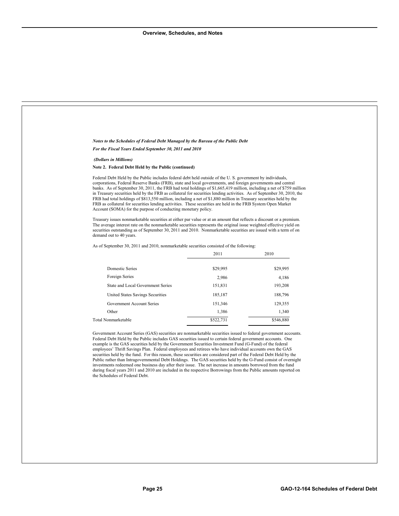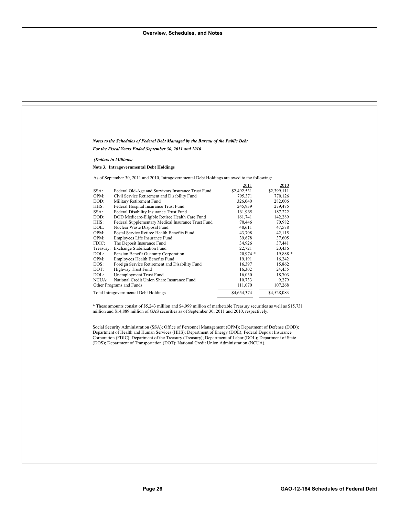Ē,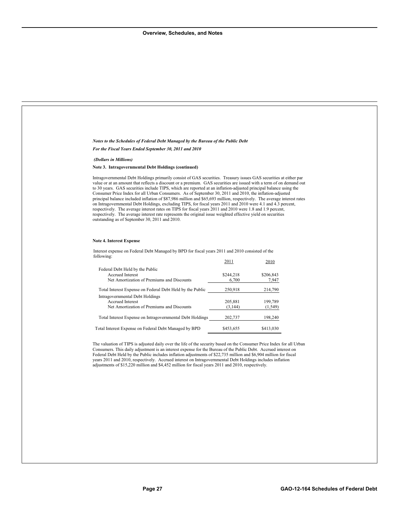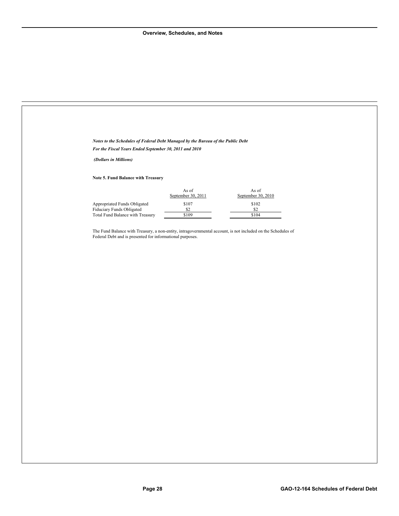| Notes to the Schedules of Federal Debt Managed by the Bureau of the Public Debt |                                  |                                                                                                              |  |
|---------------------------------------------------------------------------------|----------------------------------|--------------------------------------------------------------------------------------------------------------|--|
| For the Fiscal Years Ended September 30, 2011 and 2010                          |                                  |                                                                                                              |  |
| (Dollars in Millions)                                                           |                                  |                                                                                                              |  |
| Note 5. Fund Balance with Treasury                                              |                                  |                                                                                                              |  |
|                                                                                 | As of $\,$<br>September 30, 2011 | As of<br>September 30, 2010                                                                                  |  |
| Appropriated Funds Obligated<br>Fiduciary Funds Obligated                       | $$107$<br>\$2                    | \$102<br>\$2                                                                                                 |  |
| Total Fund Balance with Treasury                                                | \$109                            | \$104                                                                                                        |  |
|                                                                                 |                                  | The Fund Balance with Treasury, a non-entity, intragovernmental account, is not included on the Schedules of |  |
| Federal Debt and is presented for informational purposes.                       |                                  |                                                                                                              |  |
|                                                                                 |                                  |                                                                                                              |  |
|                                                                                 |                                  |                                                                                                              |  |
|                                                                                 |                                  |                                                                                                              |  |
|                                                                                 |                                  |                                                                                                              |  |
|                                                                                 |                                  |                                                                                                              |  |
|                                                                                 |                                  |                                                                                                              |  |
|                                                                                 |                                  |                                                                                                              |  |
|                                                                                 |                                  |                                                                                                              |  |
|                                                                                 |                                  |                                                                                                              |  |
|                                                                                 |                                  |                                                                                                              |  |
|                                                                                 |                                  |                                                                                                              |  |
|                                                                                 |                                  |                                                                                                              |  |
|                                                                                 |                                  |                                                                                                              |  |
|                                                                                 |                                  |                                                                                                              |  |
|                                                                                 |                                  |                                                                                                              |  |
|                                                                                 |                                  |                                                                                                              |  |
|                                                                                 |                                  |                                                                                                              |  |
|                                                                                 |                                  |                                                                                                              |  |
|                                                                                 |                                  |                                                                                                              |  |
|                                                                                 |                                  |                                                                                                              |  |
|                                                                                 |                                  |                                                                                                              |  |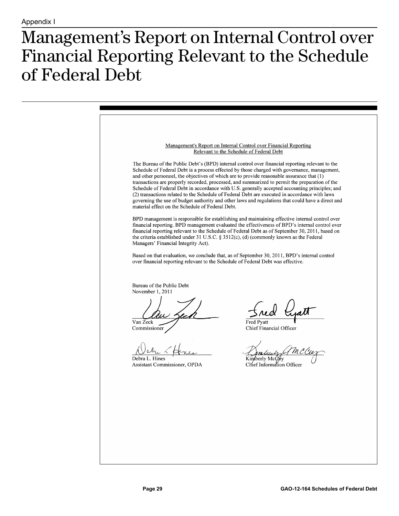### <span id="page-31-0"></span>**Management's Report on Internal Control over** Financial Reporting Relevant to the Schedule of Federal Debt

Management's Report on Internal Control over Financial Reporting Relevant to the Schedule of Federal Debt The Bureau of the Public Debt's (BPD) internal control over financial reporting relevant to the Schedule of Federal Debt is a process effected by those charged with governance, management, and other personnel, the objectives of which are to provide reasonable assurance that (1) transactions are properly recorded, processed, and summarized to permit the preparation of the Schedule of Federal Debt in accordance with U.S. generally accepted accounting principles; and (2) transactions related to the Schedule of Federal Debt are executed in accordance with laws governing the use of budget authority and other laws and regulations that could have a direct and material effect on the Schedule of Federal Debt. BPD management is responsible for establishing and maintaining effective internal control over financial reporting. BPD management evaluated the effectiveness of BPD's internal control over financial reporting relevant to the Schedule of Federal Debt as of September 30, 2011, based on the criteria established under 31 U.S.C. § 3512(c), (d) (commonly known as the Federal Managers' Financial Integrity Act). Based on that evaluation, we conclude that, as of September 30, 2011, BPD's internal control over financial reporting relevant to the Schedule of Federal Debt was effective. Bureau of the Public Debt November 1, 2011 red Van Zeck **Fred Pvatt** Chief Financial Officer Commissione Debra L. Hines Kimberly McØby Assistant Commissioner, OPDA Chief Information Officer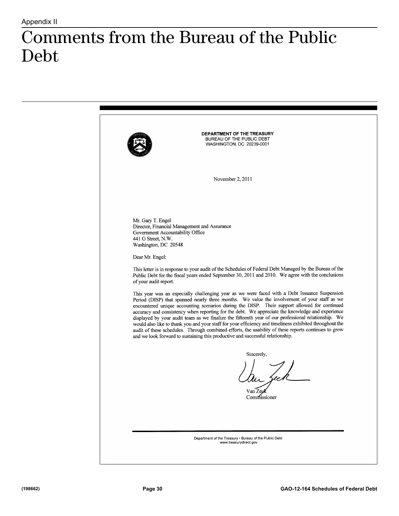### <span id="page-32-0"></span>Comments from the Bureau of the Public  $\text{Debt}$

DEPARTMENT OF THE TREASURY BUREAU OF THE PUBLIC DEBT WASHINGTON, DC 20239-0001 November 2, 2011 Mr. Gary T. Engel Director, Financial Management and Assurance Government Accountability Office 441 G Street, N.W. Washington, DC 20548 Dear Mr. Engel: This letter is in response to your audit of the Schedules of Federal Debt Managed by the Bureau of the Public Debt for the fiscal years ended September 30, 2011 and 2010. We agree with the conclusions of your audit report. This year was an especially challenging year as we were faced with a Debt Issuance Suspension Period (DISP) that spanned nearly three months. We value the involvement of your staff as we encountered unique accounting scenarios during the DISP. Their support allowed for continued accuracy and consistency when reporting for the debt. We appreciate the knowledge and experience displayed by your audit team as we finalize the fifteenth year of our professional relationship. We would also like to thank you and your staff for your efficiency and timeliness exhibited throughout the audit of these schedules. Through combined efforts, the usability of these reports continues to grow and we look forward to sustaining this productive and successful relationship. Sincerely, Van ZegK Commissioner Department of the Treasury . Bureau of the Public Debt www.treasurydirect.gov